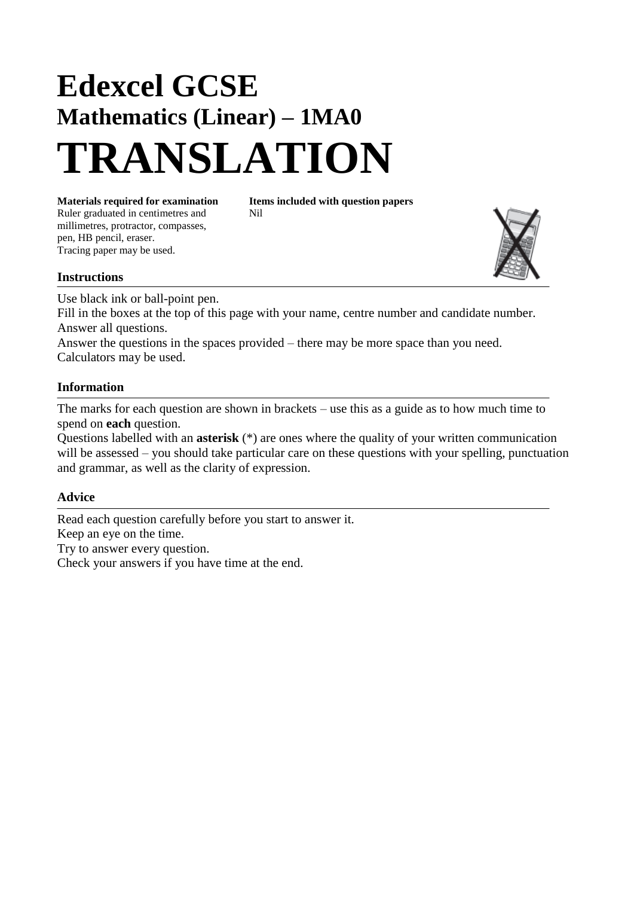# **Edexcel GCSE Mathematics (Linear) – 1MA0 TRANSLATION**

Ruler graduated in centimetres and Nil millimetres, protractor, compasses, pen, HB pencil, eraser. Tracing paper may be used.

**Materials required for examination Items included with question papers**

### **Instructions**

Use black ink or ball-point pen. Fill in the boxes at the top of this page with your name, centre number and candidate number. Answer all questions.

Answer the questions in the spaces provided – there may be more space than you need. Calculators may be used.

#### **Information**

The marks for each question are shown in brackets – use this as a guide as to how much time to spend on **each** question.

Questions labelled with an **asterisk** (\*) are ones where the quality of your written communication will be assessed – you should take particular care on these questions with your spelling, punctuation and grammar, as well as the clarity of expression.

#### **Advice**

Read each question carefully before you start to answer it. Keep an eye on the time. Try to answer every question. Check your answers if you have time at the end.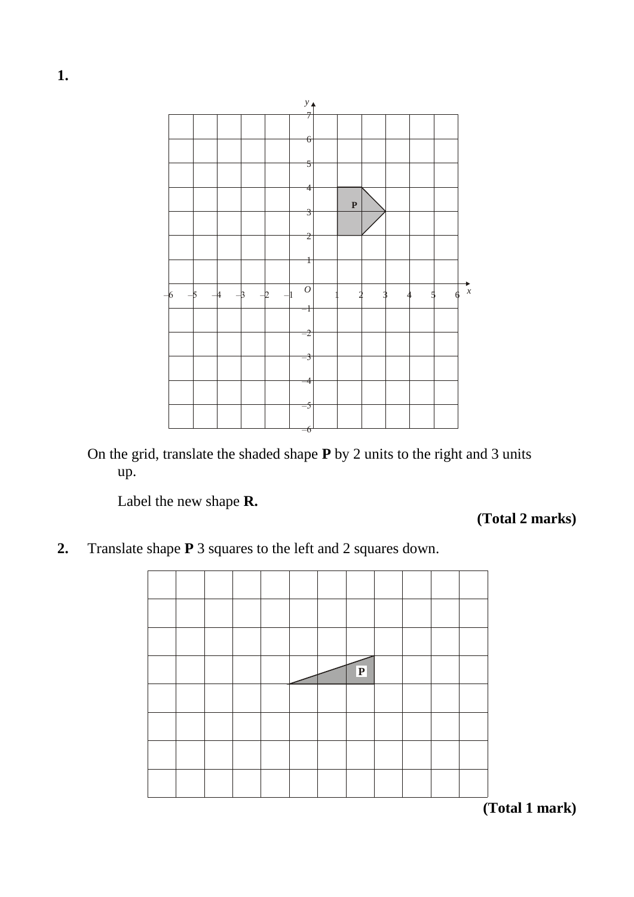

On the grid, translate the shaded shape **P** by 2 units to the right and 3 units up.

Label the new shape **R.**

**(Total 2 marks)**

**2.** Translate shape **P** 3 squares to the left and 2 squares down.



**(Total 1 mark)**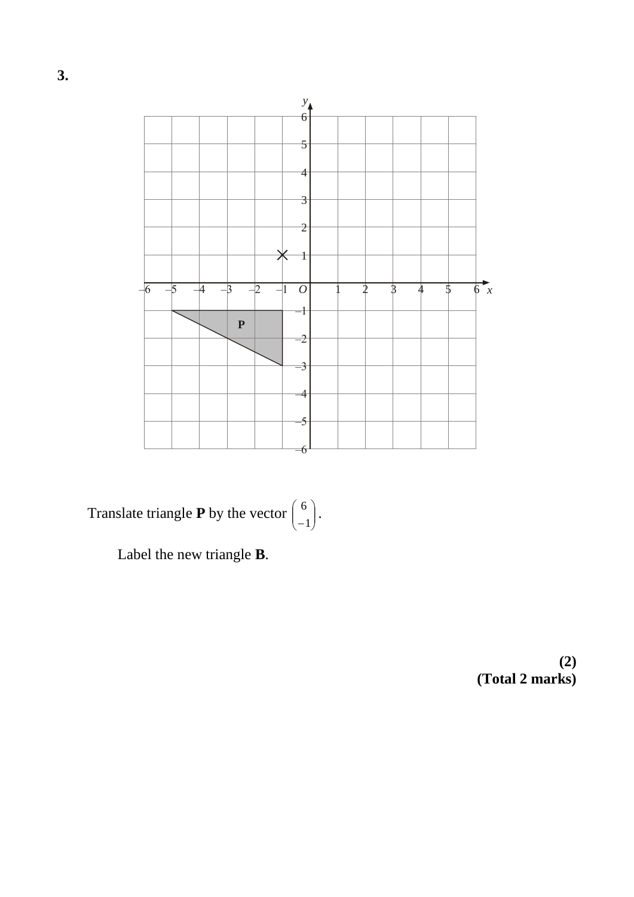

Translate triangle **P** by the vector  $\begin{bmatrix} 0 \\ -1 \end{bmatrix}$ . J  $\setminus$  $\overline{\phantom{a}}$  $\setminus$ ſ 1 6

Label the new triangle **B**.

**(2) (Total 2 marks)**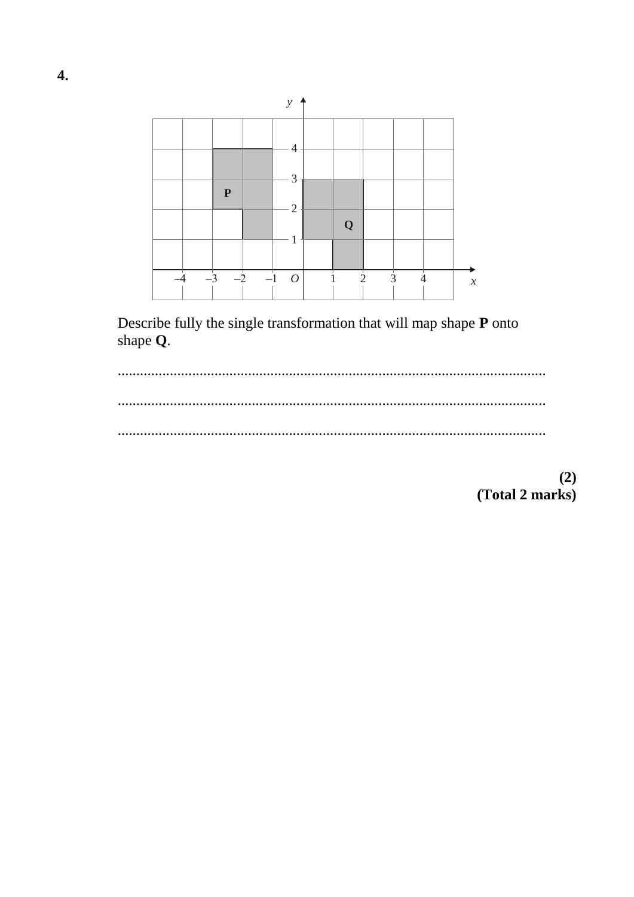

Describe fully the single transformation that will map shape P onto shape Q.



 $(2)$ (Total 2 marks)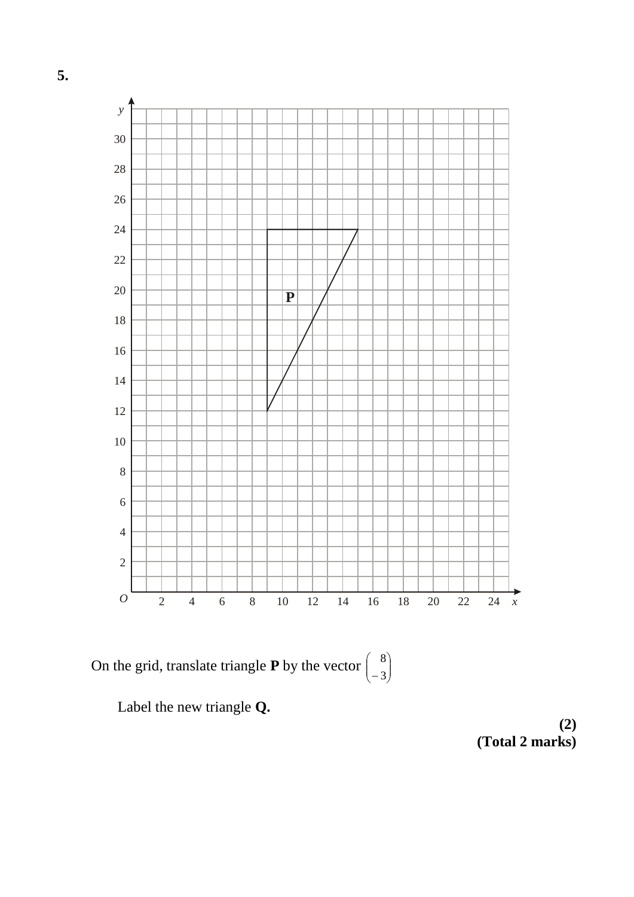

Label the new triangle **Q.**

**(2) (Total 2 marks)**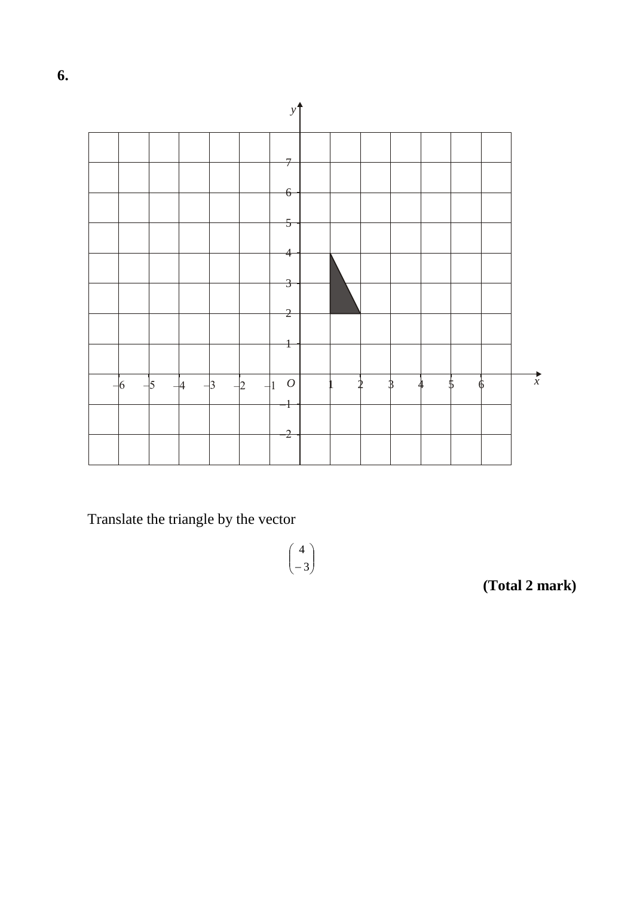

 $\begin{pmatrix} 4 \\ -3 \end{pmatrix}$ 

Translate the triangle by the vector

(Total 2 mark)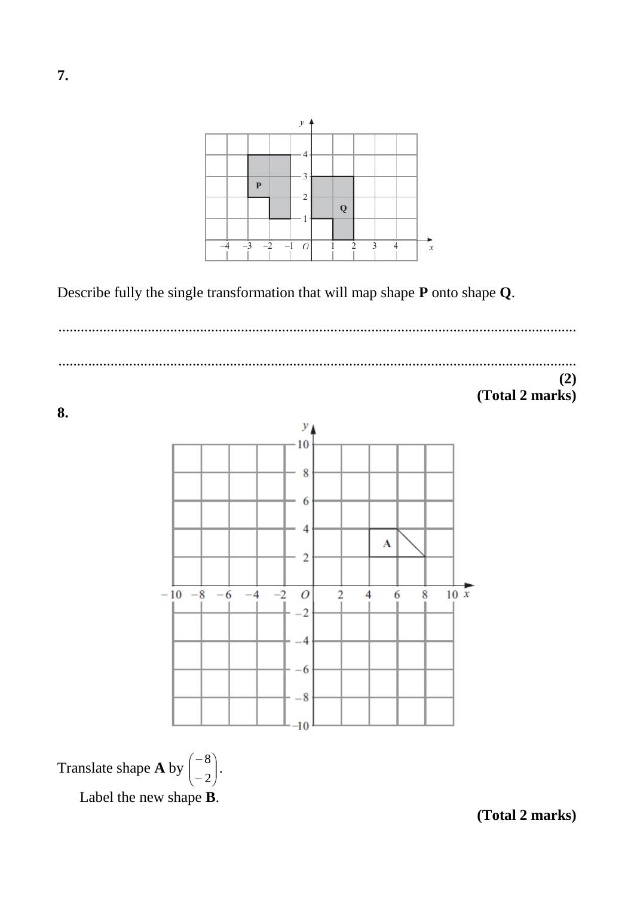

Describe fully the single transformation that will map shape **P** onto shape **Q**.

........................................................................................................................................... ...........................................................................................................................................

## **(2) (Total 2 marks)**

**8.**



Translate shape **A** by  $\begin{bmatrix} 0 \\ 2 \end{bmatrix}$ J  $\setminus$  $\overline{\phantom{a}}$  $\setminus$ ſ  $\overline{a}$  $\overline{a}$ 2  $\begin{bmatrix} 8 \\ 0 \end{bmatrix}$ . Label the new shape **B**.

**(Total 2 marks)**